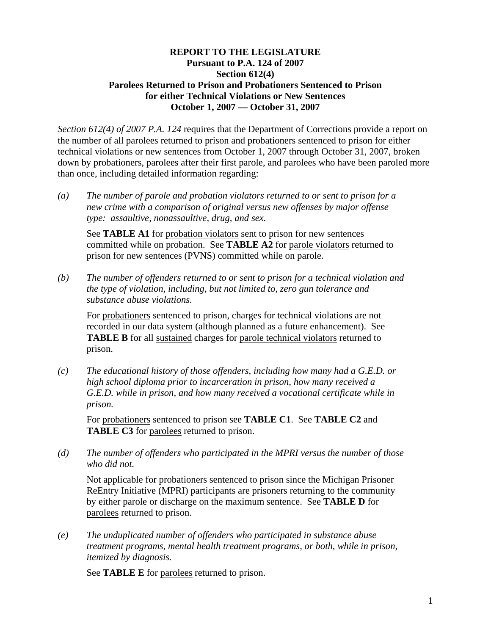### **REPORT TO THE LEGISLATURE Pursuant to P.A. 124 of 2007 Section 612(4) Parolees Returned to Prison and Probationers Sentenced to Prison for either Technical Violations or New Sentences October 1, 2007 — October 31, 2007**

*Section 612(4) of 2007 P.A. 124* requires that the Department of Corrections provide a report on the number of all parolees returned to prison and probationers sentenced to prison for either technical violations or new sentences from October 1, 2007 through October 31, 2007, broken down by probationers, parolees after their first parole, and parolees who have been paroled more than once, including detailed information regarding:

*(a) The number of parole and probation violators returned to or sent to prison for a new crime with a comparison of original versus new offenses by major offense type: assaultive, nonassaultive, drug, and sex.* 

See **TABLE A1** for probation violators sent to prison for new sentences committed while on probation. See **TABLE A2** for parole violators returned to prison for new sentences (PVNS) committed while on parole.

*(b) The number of offenders returned to or sent to prison for a technical violation and the type of violation, including, but not limited to, zero gun tolerance and substance abuse violations.* 

For probationers sentenced to prison, charges for technical violations are not recorded in our data system (although planned as a future enhancement). See **TABLE B** for all sustained charges for parole technical violators returned to prison.

*(c) The educational history of those offenders, including how many had a G.E.D. or high school diploma prior to incarceration in prison, how many received a G.E.D. while in prison, and how many received a vocational certificate while in prison.* 

For probationers sentenced to prison see **TABLE C1**. See **TABLE C2** and **TABLE C3** for parolees returned to prison.

*(d) The number of offenders who participated in the MPRI versus the number of those who did not.* 

Not applicable for probationers sentenced to prison since the Michigan Prisoner ReEntry Initiative (MPRI) participants are prisoners returning to the community by either parole or discharge on the maximum sentence. See **TABLE D** for parolees returned to prison.

*(e) The unduplicated number of offenders who participated in substance abuse treatment programs, mental health treatment programs, or both, while in prison, itemized by diagnosis.* 

See **TABLE E** for parolees returned to prison.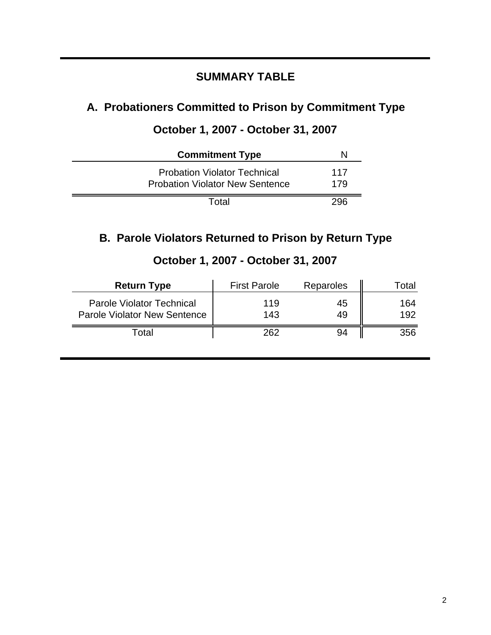# **SUMMARY TABLE**

# **A. Probationers Committed to Prison by Commitment Type**

# **October 1, 2007 - October 31, 2007**

| <b>Commitment Type</b>                                                        | N          |
|-------------------------------------------------------------------------------|------------|
| <b>Probation Violator Technical</b><br><b>Probation Violator New Sentence</b> | 117<br>179 |
| Total                                                                         | 296        |

# **B. Parole Violators Returned to Prison by Return Type**

| <b>Return Type</b>                                                      | <b>First Parole</b> | Reparoles | ' otal     |
|-------------------------------------------------------------------------|---------------------|-----------|------------|
| <b>Parole Violator Technical</b><br><b>Parole Violator New Sentence</b> | 119<br>143          | 45<br>49  | 164<br>192 |
| Гоtal                                                                   | 262                 | 94        | 356        |

# **October 1, 2007 - October 31, 2007**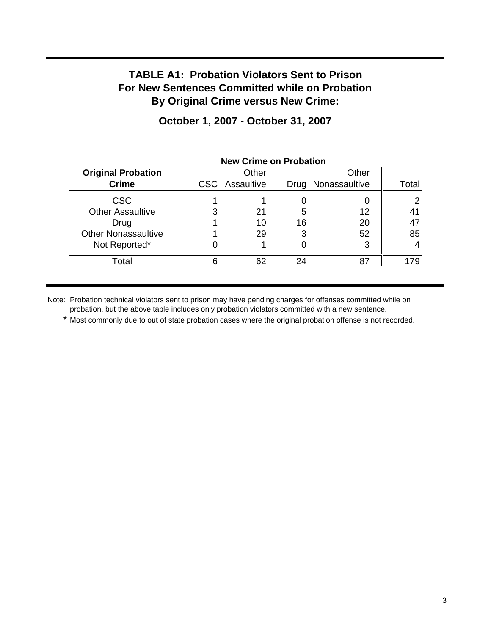## **TABLE A1: Probation Violators Sent to Prison For New Sentences Committed while on Probation By Original Crime versus New Crime:**

|                            | <b>New Crime on Probation</b> |                |    |                    |       |
|----------------------------|-------------------------------|----------------|----|--------------------|-------|
| <b>Original Probation</b>  |                               | Other          |    | Other              |       |
| <b>Crime</b>               |                               | CSC Assaultive |    | Drug Nonassaultive | Total |
| <b>CSC</b>                 |                               |                |    |                    | ⌒     |
| <b>Other Assaultive</b>    | 3                             | 21             | 5  | 12                 |       |
| Drug                       |                               | 10             | 16 | 20                 |       |
| <b>Other Nonassaultive</b> |                               | 29             |    | 52                 | 85    |
| Not Reported*              |                               |                |    | 3                  |       |
| Total                      | Ⴌ                             | 62             | 24 | 87                 | 179   |

## **October 1, 2007 - October 31, 2007**

Note: Probation technical violators sent to prison may have pending charges for offenses committed while on probation, but the above table includes only probation violators committed with a new sentence.

\* Most commonly due to out of state probation cases where the original probation offense is not recorded.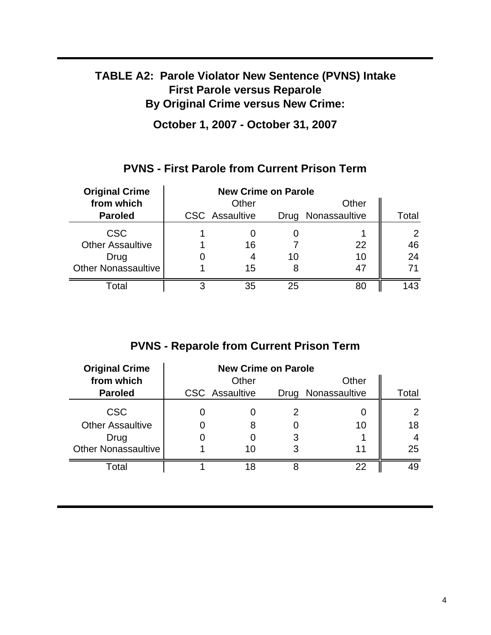# **TABLE A2: Parole Violator New Sentence (PVNS) Intake First Parole versus Reparole By Original Crime versus New Crime:**

**October 1, 2007 - October 31, 2007**

## **PVNS - First Parole from Current Prison Term**

| <b>Original Crime</b>      | <b>New Crime on Parole</b> |                       |    |                    |                |
|----------------------------|----------------------------|-----------------------|----|--------------------|----------------|
| from which                 |                            | Other                 |    | Other              |                |
| <b>Paroled</b>             |                            | <b>CSC</b> Assaultive |    | Drug Nonassaultive | Total          |
| <b>CSC</b>                 |                            |                       |    |                    | $\overline{2}$ |
| <b>Other Assaultive</b>    |                            | 16                    |    | 22                 | 46             |
| Drug                       |                            |                       | 10 | 10                 | 24             |
| <b>Other Nonassaultive</b> |                            | 15                    |    | 47                 |                |
| Total                      | 3                          | 35                    | 25 |                    | 143            |

# **PVNS - Reparole from Current Prison Term**

| <b>Original Crime</b>      | <b>New Crime on Parole</b> |                       |  |                    |                |
|----------------------------|----------------------------|-----------------------|--|--------------------|----------------|
| from which                 |                            | Other                 |  | Other              |                |
| <b>Paroled</b>             |                            | <b>CSC</b> Assaultive |  | Drug Nonassaultive | Total          |
| <b>CSC</b>                 |                            |                       |  |                    | $\overline{2}$ |
| <b>Other Assaultive</b>    |                            |                       |  | 10                 | 18             |
| Drug                       |                            |                       |  |                    |                |
| <b>Other Nonassaultive</b> |                            | 10                    |  | 11                 | 25             |
| Total                      |                            | 18                    |  | 22                 | 49             |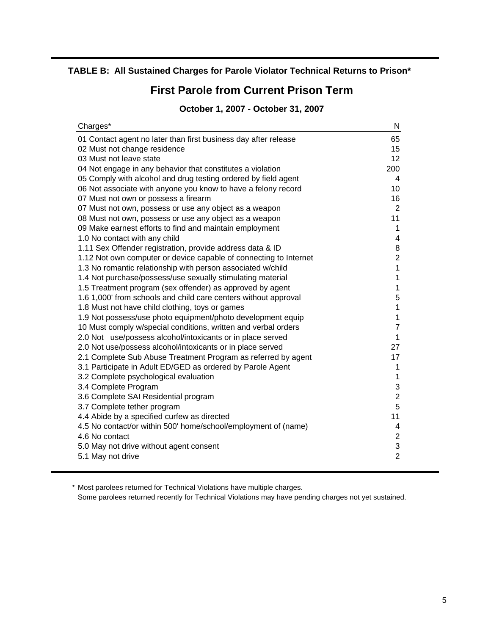### **TABLE B: All Sustained Charges for Parole Violator Technical Returns to Prison\***

## **First Parole from Current Prison Term**

### **October 1, 2007 - October 31, 2007**

| Charges*                                                          | N              |
|-------------------------------------------------------------------|----------------|
| 01 Contact agent no later than first business day after release   | 65             |
| 02 Must not change residence                                      | 15             |
| 03 Must not leave state                                           | 12             |
| 04 Not engage in any behavior that constitutes a violation        | 200            |
| 05 Comply with alcohol and drug testing ordered by field agent    | 4              |
| 06 Not associate with anyone you know to have a felony record     | 10             |
| 07 Must not own or possess a firearm                              | 16             |
| 07 Must not own, possess or use any object as a weapon            | $\overline{2}$ |
| 08 Must not own, possess or use any object as a weapon            | 11             |
| 09 Make earnest efforts to find and maintain employment           | 1              |
| 1.0 No contact with any child                                     | 4              |
| 1.11 Sex Offender registration, provide address data & ID         | 8              |
| 1.12 Not own computer or device capable of connecting to Internet | $\overline{c}$ |
| 1.3 No romantic relationship with person associated w/child       | 1              |
| 1.4 Not purchase/possess/use sexually stimulating material        | 1              |
| 1.5 Treatment program (sex offender) as approved by agent         | 1              |
| 1.6 1,000' from schools and child care centers without approval   | 5              |
| 1.8 Must not have child clothing, toys or games                   | 1              |
| 1.9 Not possess/use photo equipment/photo development equip       | 1              |
| 10 Must comply w/special conditions, written and verbal orders    | $\overline{7}$ |
| 2.0 Not use/possess alcohol/intoxicants or in place served        | $\mathbf{1}$   |
| 2.0 Not use/possess alcohol/intoxicants or in place served        | 27<br>17       |
| 2.1 Complete Sub Abuse Treatment Program as referred by agent     | 1              |
| 3.1 Participate in Adult ED/GED as ordered by Parole Agent        | 1              |
| 3.2 Complete psychological evaluation<br>3.4 Complete Program     | 3              |
| 3.6 Complete SAI Residential program                              | $\overline{c}$ |
| 3.7 Complete tether program                                       | 5              |
| 4.4 Abide by a specified curfew as directed                       | 11             |
| 4.5 No contact/or within 500' home/school/employment of (name)    | 4              |
| 4.6 No contact                                                    | $\overline{c}$ |
| 5.0 May not drive without agent consent                           | 3              |
| 5.1 May not drive                                                 | $\overline{2}$ |
|                                                                   |                |

\* Most parolees returned for Technical Violations have multiple charges.

Some parolees returned recently for Technical Violations may have pending charges not yet sustained.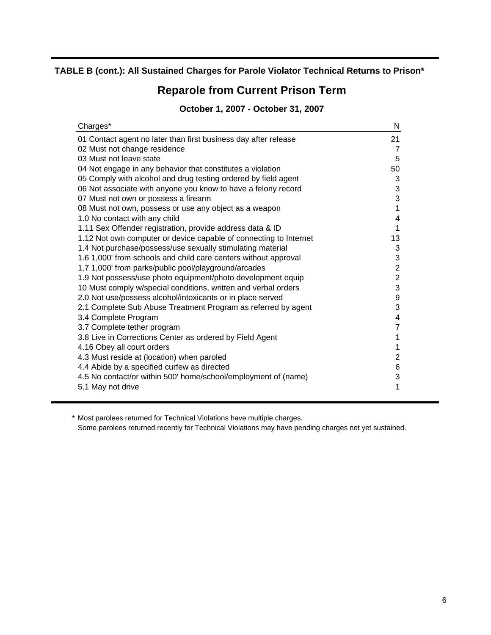### **TABLE B (cont.): All Sustained Charges for Parole Violator Technical Returns to Prison\***

# **Reparole from Current Prison Term**

### **October 1, 2007 - October 31, 2007**

| Charges*                                                                              | N              |
|---------------------------------------------------------------------------------------|----------------|
| 01 Contact agent no later than first business day after release                       | 21             |
| 02 Must not change residence                                                          | 7              |
| 03 Must not leave state                                                               | 5              |
| 04 Not engage in any behavior that constitutes a violation                            | 50             |
| 05 Comply with alcohol and drug testing ordered by field agent                        | 3              |
| 06 Not associate with anyone you know to have a felony record                         | 3              |
| 07 Must not own or possess a firearm                                                  | 3              |
| 08 Must not own, possess or use any object as a weapon                                | 1              |
| 1.0 No contact with any child                                                         | 4              |
| 1.11 Sex Offender registration, provide address data & ID                             | 1              |
| 1.12 Not own computer or device capable of connecting to Internet                     | 13             |
| 1.4 Not purchase/possess/use sexually stimulating material                            | 3              |
| 1.6 1,000' from schools and child care centers without approval                       | 3              |
| 1.7 1,000' from parks/public pool/playground/arcades                                  | $\overline{2}$ |
| 1.9 Not possess/use photo equipment/photo development equip                           | $\overline{2}$ |
| 10 Must comply w/special conditions, written and verbal orders                        | 3              |
| 2.0 Not use/possess alcohol/intoxicants or in place served                            | 9<br>3         |
| 2.1 Complete Sub Abuse Treatment Program as referred by agent<br>3.4 Complete Program | 4              |
| 3.7 Complete tether program                                                           | 7              |
| 3.8 Live in Corrections Center as ordered by Field Agent                              | 1              |
| 4.16 Obey all court orders                                                            | 1              |
| 4.3 Must reside at (location) when paroled                                            | 2              |
| 4.4 Abide by a specified curfew as directed                                           | 6              |
| 4.5 No contact/or within 500' home/school/employment of (name)                        | 3              |
| 5.1 May not drive                                                                     | 1              |
|                                                                                       |                |

\* Most parolees returned for Technical Violations have multiple charges.

Some parolees returned recently for Technical Violations may have pending charges not yet sustained.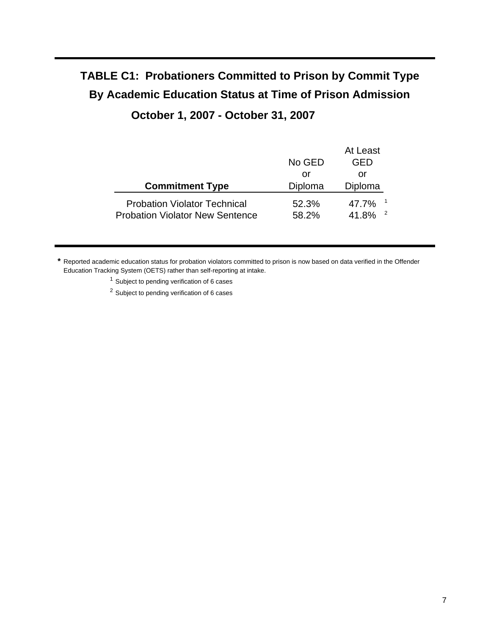# **TABLE C1: Probationers Committed to Prison by Commit Type By Academic Education Status at Time of Prison Admission October 1, 2007 - October 31, 2007**

|                                                                               | No GED         | At Least<br>GED     |
|-------------------------------------------------------------------------------|----------------|---------------------|
|                                                                               | or             | or                  |
| <b>Commitment Type</b>                                                        | Diploma        | Diploma             |
| <b>Probation Violator Technical</b><br><b>Probation Violator New Sentence</b> | 52.3%<br>58.2% | 47.7%<br>2<br>41.8% |

**\*** Reported academic education status for probation violators committed to prison is now based on data verified in the Offender Education Tracking System (OETS) rather than self-reporting at intake.

<sup>1</sup> Subject to pending verification of 6 cases

<sup>2</sup> Subject to pending verification of 6 cases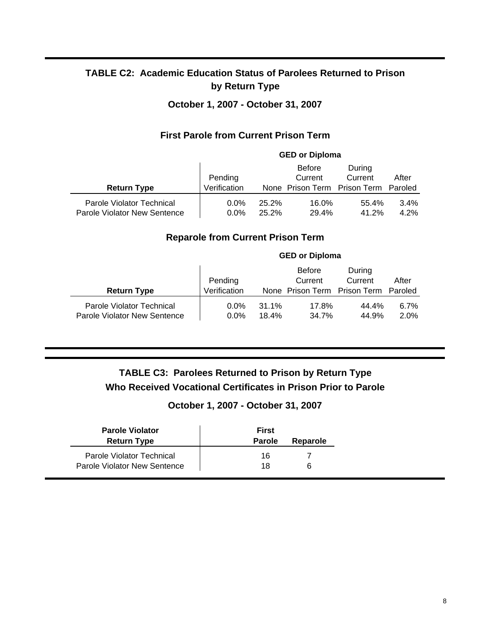## **TABLE C2: Academic Education Status of Parolees Returned to Prison by Return Type**

### **October 1, 2007 - October 31, 2007**

### **First Parole from Current Prison Term**

|                                                           |                         |                | <b>GED or Diploma</b>    |                                                           |              |
|-----------------------------------------------------------|-------------------------|----------------|--------------------------|-----------------------------------------------------------|--------------|
| <b>Return Type</b>                                        | Pending<br>Verification |                | <b>Before</b><br>Current | During<br>Current<br>None Prison Term Prison Term Paroled | After        |
| Parole Violator Technical<br>Parole Violator New Sentence | $0.0\%$<br>$0.0\%$      | 25.2%<br>25.2% | 16.0%<br>29.4%           | 55.4%<br>41.2%                                            | 3.4%<br>4.2% |

### **Reparole from Current Prison Term**

|                                                           |                         |                | <b>GED or Diploma</b>    |                                                   |                  |
|-----------------------------------------------------------|-------------------------|----------------|--------------------------|---------------------------------------------------|------------------|
| <b>Return Type</b>                                        | Pending<br>Verification |                | <b>Before</b><br>Current | During<br>Current<br>None Prison Term Prison Term | After<br>Paroled |
| Parole Violator Technical<br>Parole Violator New Sentence | $0.0\%$<br>$0.0\%$      | 31.1%<br>18.4% | 17.8%<br>34.7%           | 44.4%<br>44.9%                                    | 6.7%<br>2.0%     |

## **TABLE C3: Parolees Returned to Prison by Return Type Who Received Vocational Certificates in Prison Prior to Parole**

### **October 1, 2007 - October 31, 2007**

| <b>Parole Violator</b><br><b>Return Type</b> | <b>First</b><br><b>Parole</b> | Reparole |
|----------------------------------------------|-------------------------------|----------|
| Parole Violator Technical                    | 16                            |          |
| Parole Violator New Sentence                 | 18                            | 6        |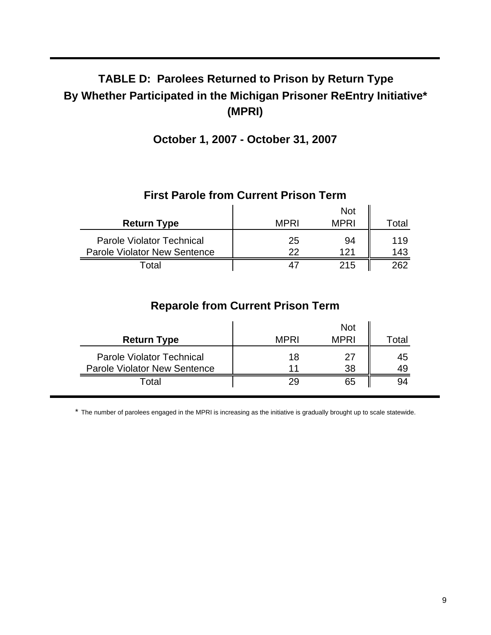# **TABLE D: Parolees Returned to Prison by Return Type By Whether Participated in the Michigan Prisoner ReEntry Initiative\* (MPRI)**

**October 1, 2007 - October 31, 2007**

|                                                                         |             | <b>Not</b>  |            |  |
|-------------------------------------------------------------------------|-------------|-------------|------------|--|
| <b>Return Type</b>                                                      | <b>MPRI</b> | <b>MPRI</b> | Total      |  |
| <b>Parole Violator Technical</b><br><b>Parole Violator New Sentence</b> | 25<br>22    | 94<br>121   | 119<br>143 |  |
| Total                                                                   | 4           | 215         | 262        |  |

### **First Parole from Current Prison Term**

# **Reparole from Current Prison Term**

| <b>Return Type</b>                                                      | <b>MPRI</b> | <b>Not</b><br><b>MPRI</b> | Total    |
|-------------------------------------------------------------------------|-------------|---------------------------|----------|
| <b>Parole Violator Technical</b><br><b>Parole Violator New Sentence</b> | 18<br>11    | 27<br>38                  | 45<br>49 |
| Total                                                                   | 29          | 65                        |          |

\* The number of parolees engaged in the MPRI is increasing as the initiative is gradually brought up to scale statewide.